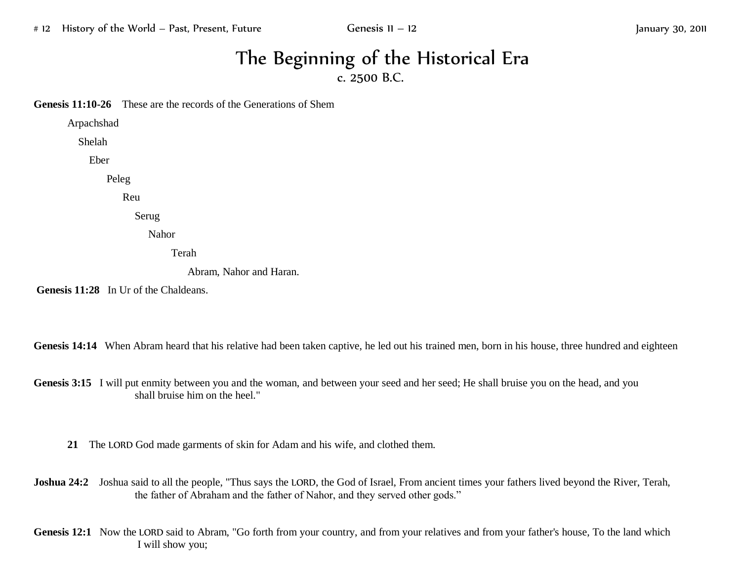## The Beginning of the Historical Era c. 2500 B.C.

**Genesis 11:10-26** These are the records of the Generations of Shem

Arpachshad

Shelah

Eber

Peleg

Reu

Serug

Nahor

Terah

Abram, Nahor and Haran.

**Genesis 11:28** In Ur of the Chaldeans.

Genesis 14:14 When Abram heard that his relative had been taken captive, he led out his trained men, born in his house, three hundred and eighteen

Genesis 3:15 I will put enmity between you and the woman, and between your seed and her seed; He shall bruise you on the head, and you shall bruise him on the heel."

**21** The LORD God made garments of skin for Adam and his wife, and clothed them.

**Joshua 24:2** Joshua said to all the people, "Thus says the LORD, the God of Israel, From ancient times your fathers lived beyond the River, Terah, the father of Abraham and the father of Nahor, and they served other gods."

Genesis 12:1 Now the LORD said to Abram, "Go forth from your country, and from your relatives and from your father's house, To the land which I will show you;